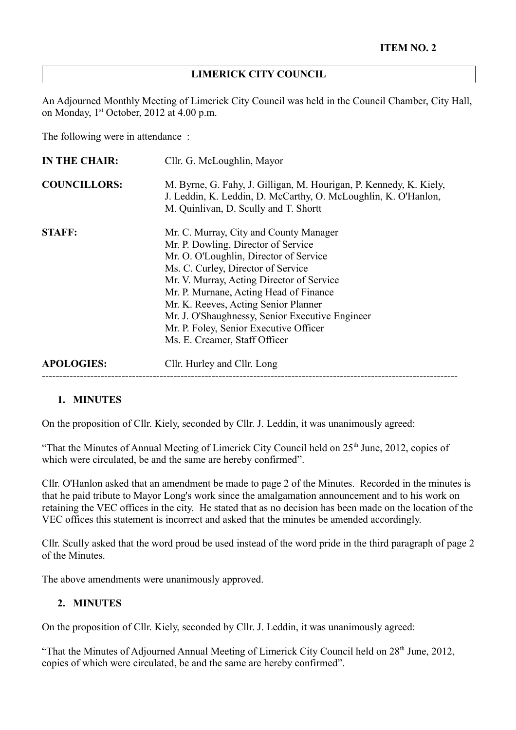### **LIMERICK CITY COUNCIL**

An Adjourned Monthly Meeting of Limerick City Council was held in the Council Chamber, City Hall, on Monday, 1<sup>st</sup> October, 2012 at 4.00 p.m.

The following were in attendance :

| IN THE CHAIR:       | Cllr. G. McLoughlin, Mayor                                                                                                                                                                                                                                                                                                                                                                                                 |  |
|---------------------|----------------------------------------------------------------------------------------------------------------------------------------------------------------------------------------------------------------------------------------------------------------------------------------------------------------------------------------------------------------------------------------------------------------------------|--|
| <b>COUNCILLORS:</b> | M. Byrne, G. Fahy, J. Gilligan, M. Hourigan, P. Kennedy, K. Kiely,<br>J. Leddin, K. Leddin, D. McCarthy, O. McLoughlin, K. O'Hanlon,<br>M. Quinlivan, D. Scully and T. Shortt                                                                                                                                                                                                                                              |  |
| <b>STAFF:</b>       | Mr. C. Murray, City and County Manager<br>Mr. P. Dowling, Director of Service<br>Mr. O. O'Loughlin, Director of Service<br>Ms. C. Curley, Director of Service<br>Mr. V. Murray, Acting Director of Service<br>Mr. P. Murnane, Acting Head of Finance<br>Mr. K. Reeves, Acting Senior Planner<br>Mr. J. O'Shaughnessy, Senior Executive Engineer<br>Mr. P. Foley, Senior Executive Officer<br>Ms. E. Creamer, Staff Officer |  |
| <b>APOLOGIES:</b>   | Cllr. Hurley and Cllr. Long                                                                                                                                                                                                                                                                                                                                                                                                |  |

### **1. MINUTES**

On the proposition of Cllr. Kiely, seconded by Cllr. J. Leddin, it was unanimously agreed:

"That the Minutes of Annual Meeting of Limerick City Council held on  $25<sup>th</sup>$  June, 2012, copies of which were circulated, be and the same are hereby confirmed".

Cllr. O'Hanlon asked that an amendment be made to page 2 of the Minutes. Recorded in the minutes is that he paid tribute to Mayor Long's work since the amalgamation announcement and to his work on retaining the VEC offices in the city. He stated that as no decision has been made on the location of the VEC offices this statement is incorrect and asked that the minutes be amended accordingly.

Cllr. Scully asked that the word proud be used instead of the word pride in the third paragraph of page 2 of the Minutes.

The above amendments were unanimously approved.

#### **2. MINUTES**

On the proposition of Cllr. Kiely, seconded by Cllr. J. Leddin, it was unanimously agreed:

"That the Minutes of Adjourned Annual Meeting of Limerick City Council held on  $28<sup>th</sup>$  June, 2012, copies of which were circulated, be and the same are hereby confirmed".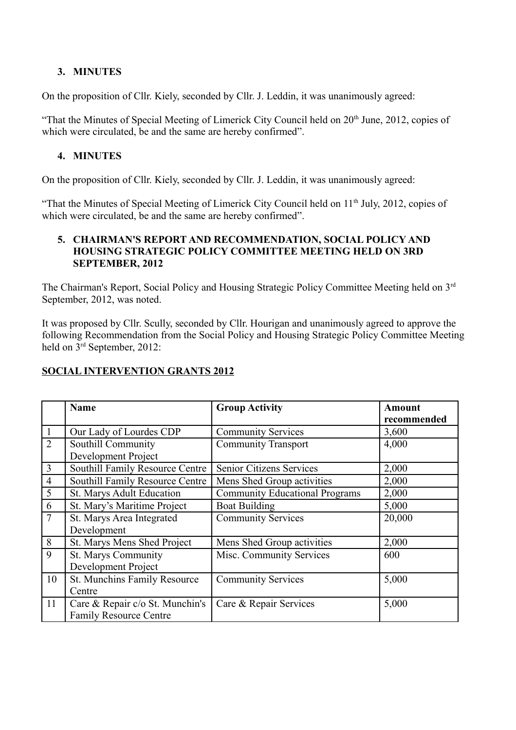### **3. MINUTES**

On the proposition of Cllr. Kiely, seconded by Cllr. J. Leddin, it was unanimously agreed:

"That the Minutes of Special Meeting of Limerick City Council held on  $20<sup>th</sup>$  June, 2012, copies of which were circulated, be and the same are hereby confirmed".

## **4. MINUTES**

On the proposition of Cllr. Kiely, seconded by Cllr. J. Leddin, it was unanimously agreed:

"That the Minutes of Special Meeting of Limerick City Council held on 11<sup>th</sup> July, 2012, copies of which were circulated, be and the same are hereby confirmed".

#### **5. CHAIRMAN'S REPORT AND RECOMMENDATION, SOCIAL POLICY AND HOUSING STRATEGIC POLICY COMMITTEE MEETING HELD ON 3RD SEPTEMBER, 2012**

The Chairman's Report, Social Policy and Housing Strategic Policy Committee Meeting held on 3rd September, 2012, was noted.

It was proposed by Cllr. Scully, seconded by Cllr. Hourigan and unanimously agreed to approve the following Recommendation from the Social Policy and Housing Strategic Policy Committee Meeting held on 3<sup>rd</sup> September, 2012:

## **SOCIAL INTERVENTION GRANTS 2012**

|                | <b>Name</b>                     | <b>Group Activity</b>                 | <b>Amount</b> |
|----------------|---------------------------------|---------------------------------------|---------------|
|                |                                 |                                       | recommended   |
| $\mathbf{1}$   | Our Lady of Lourdes CDP         | <b>Community Services</b>             | 3,600         |
| $\overline{2}$ | Southill Community              | <b>Community Transport</b>            | 4,000         |
|                | Development Project             |                                       |               |
| $\overline{3}$ | Southill Family Resource Centre | Senior Citizens Services              | 2,000         |
| $\overline{4}$ | Southill Family Resource Centre | Mens Shed Group activities            | 2,000         |
| 5              | St. Marys Adult Education       | <b>Community Educational Programs</b> | 2,000         |
| 6              | St. Mary's Maritime Project     | <b>Boat Building</b>                  | 5,000         |
| $\overline{7}$ | St. Marys Area Integrated       | <b>Community Services</b>             | 20,000        |
|                | Development                     |                                       |               |
| 8              | St. Marys Mens Shed Project     | Mens Shed Group activities            | 2,000         |
| 9              | <b>St. Marys Community</b>      | Misc. Community Services              | 600           |
|                | Development Project             |                                       |               |
| 10             | St. Munchins Family Resource    | <b>Community Services</b>             | 5,000         |
|                | Centre                          |                                       |               |
| 11             | Care & Repair c/o St. Munchin's | Care & Repair Services                | 5,000         |
|                | <b>Family Resource Centre</b>   |                                       |               |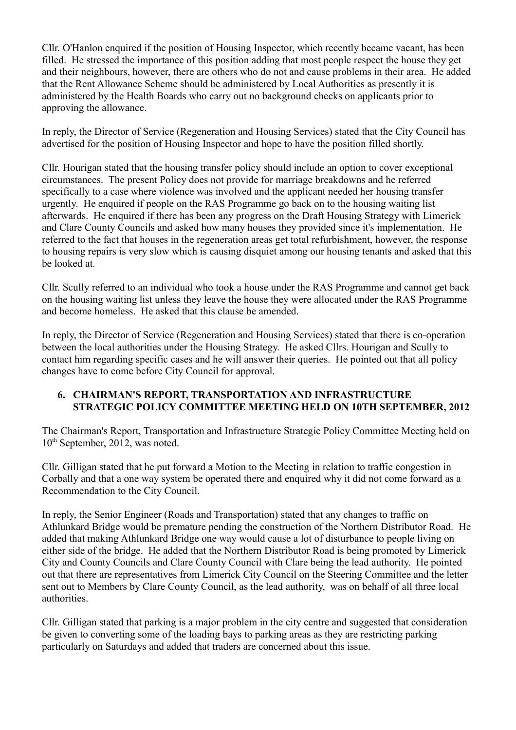Cllr. O'Hanlon enquired if the position of Housing Inspector, which recently became vacant, has been filled. He stressed the importance of this position adding that most people respect the house they get and their neighbours, however, there are others who do not and cause problems in their area. He added that the Rent Allowance Scheme should be administered by Local Authorities as presently it is administered by the Health Boards who carry out no background checks on applicants prior to approving the allowance.

In reply, the Director of Service (Regeneration and Housing Services) stated that the City Council has advertised for the position of Housing Inspector and hope to have the position filled shortly.

Cllr. Hourigan stated that the housing transfer policy should include an option to cover exceptional circumstances. The present Policy does not provide for marriage breakdowns and he referred specifically to a case where violence was involved and the applicant needed her housing transfer urgently. He enquired if people on the RAS Programme go back on to the housing waiting list afterwards. He enquired if there has been any progress on the Draft Housing Strategy with Limerick and Clare County Councils and asked how many houses they provided since it's implementation. He referred to the fact that houses in the regeneration areas get total refurbishment, however, the response to housing repairs is very slow which is causing disquiet among our housing tenants and asked that this be looked at.

Cllr. Scully referred to an individual who took a house under the RAS Programme and cannot get back on the housing waiting list unless they leave the house they were allocated under the RAS Programme and become homeless. He asked that this clause be amended.

In reply, the Director of Service (Regeneration and Housing Services) stated that there is co-operation between the local authorities under the Housing Strategy. He asked Cllrs. Hourigan and Scully to contact him regarding specific cases and he will answer their queries. He pointed out that all policy changes have to come before City Council for approval.

### **6. CHAIRMAN'S REPORT, TRANSPORTATION AND INFRASTRUCTURE STRATEGIC POLICY COMMITTEE MEETING HELD ON 10TH SEPTEMBER, 2012**

The Chairman's Report, Transportation and Infrastructure Strategic Policy Committee Meeting held on 10<sup>th</sup> September, 2012, was noted.

Cllr. Gilligan stated that he put forward a Motion to the Meeting in relation to traffic congestion in Corbally and that a one way system be operated there and enquired why it did not come forward as a Recommendation to the City Council.

In reply, the Senior Engineer (Roads and Transportation) stated that any changes to traffic on Athlunkard Bridge would be premature pending the construction of the Northern Distributor Road. He added that making Athlunkard Bridge one way would cause a lot of disturbance to people living on either side of the bridge. He added that the Northern Distributor Road is being promoted by Limerick City and County Councils and Clare County Council with Clare being the lead authority. He pointed out that there are representatives from Limerick City Council on the Steering Committee and the letter sent out to Members by Clare County Council, as the lead authority, was on behalf of all three local authorities.

Cllr. Gilligan stated that parking is a major problem in the city centre and suggested that consideration be given to converting some of the loading bays to parking areas as they are restricting parking particularly on Saturdays and added that traders are concerned about this issue.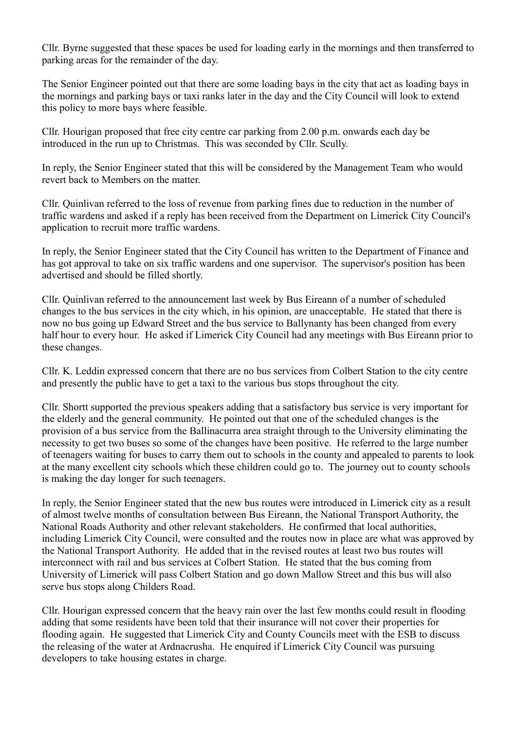Cllr. Byrne suggested that these spaces be used for loading early in the mornings and then transferred to parking areas for the remainder of the day.

The Senior Engineer pointed out that there are some loading bays in the city that act as loading bays in the mornings and parking bays or taxi ranks later in the day and the City Council will look to extend this policy to more bays where feasible.

Cllr. Hourigan proposed that free city centre car parking from 2.00 p.m. onwards each day be introduced in the run up to Christmas. This was seconded by Cllr. Scully.

In reply, the Senior Engineer stated that this will be considered by the Management Team who would revert back to Members on the matter.

Cllr. Quinlivan referred to the loss of revenue from parking fines due to reduction in the number of traffic wardens and asked if a reply has been received from the Department on Limerick City Council's application to recruit more traffic wardens.

In reply, the Senior Engineer stated that the City Council has written to the Department of Finance and has got approval to take on six traffic wardens and one supervisor. The supervisor's position has been advertised and should be filled shortly.

Cllr. Quinlivan referred to the announcement last week by Bus Eireann of a number of scheduled changes to the bus services in the city which, in his opinion, are unacceptable. He stated that there is now no bus going up Edward Street and the bus service to Ballynanty has been changed from every half hour to every hour. He asked if Limerick City Council had any meetings with Bus Eireann prior to these changes.

Cllr. K. Leddin expressed concern that there are no bus services from Colbert Station to the city centre and presently the public have to get a taxi to the various bus stops throughout the city.

Cllr. Shortt supported the previous speakers adding that a satisfactory bus service is very important for the elderly and the general community. He pointed out that one of the scheduled changes is the provision of a bus service from the Ballinacurra area straight through to the University eliminating the necessity to get two buses so some of the changes have been positive. He referred to the large number of teenagers waiting for buses to carry them out to schools in the county and appealed to parents to look at the many excellent city schools which these children could go to. The journey out to county schools is making the day longer for such teenagers.

In reply, the Senior Engineer stated that the new bus routes were introduced in Limerick city as a result of almost twelve months of consultation between Bus Eireann, the National Transport Authority, the National Roads Authority and other relevant stakeholders. He confirmed that local authorities, including Limerick City Council, were consulted and the routes now in place are what was approved by the National Transport Authority. He added that in the revised routes at least two bus routes will interconnect with rail and bus services at Colbert Station. He stated that the bus coming from University of Limerick will pass Colbert Station and go down Mallow Street and this bus will also serve bus stops along Childers Road.

Cllr. Hourigan expressed concern that the heavy rain over the last few months could result in flooding adding that some residents have been told that their insurance will not cover their properties for flooding again. He suggested that Limerick City and County Councils meet with the ESB to discuss the releasing of the water at Ardnacrusha. He enquired if Limerick City Council was pursuing developers to take housing estates in charge.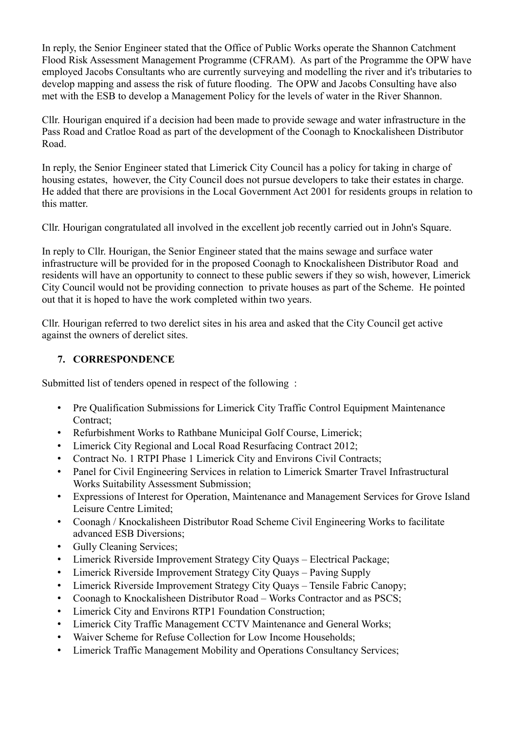In reply, the Senior Engineer stated that the Office of Public Works operate the Shannon Catchment Flood Risk Assessment Management Programme (CFRAM). As part of the Programme the OPW have employed Jacobs Consultants who are currently surveying and modelling the river and it's tributaries to develop mapping and assess the risk of future flooding. The OPW and Jacobs Consulting have also met with the ESB to develop a Management Policy for the levels of water in the River Shannon.

Cllr. Hourigan enquired if a decision had been made to provide sewage and water infrastructure in the Pass Road and Cratloe Road as part of the development of the Coonagh to Knockalisheen Distributor Road.

In reply, the Senior Engineer stated that Limerick City Council has a policy for taking in charge of housing estates, however, the City Council does not pursue developers to take their estates in charge. He added that there are provisions in the Local Government Act 2001 for residents groups in relation to this matter.

Cllr. Hourigan congratulated all involved in the excellent job recently carried out in John's Square.

In reply to Cllr. Hourigan, the Senior Engineer stated that the mains sewage and surface water infrastructure will be provided for in the proposed Coonagh to Knockalisheen Distributor Road and residents will have an opportunity to connect to these public sewers if they so wish, however, Limerick City Council would not be providing connection to private houses as part of the Scheme. He pointed out that it is hoped to have the work completed within two years.

Cllr. Hourigan referred to two derelict sites in his area and asked that the City Council get active against the owners of derelict sites.

## **7. CORRESPONDENCE**

Submitted list of tenders opened in respect of the following :

- Pre Qualification Submissions for Limerick City Traffic Control Equipment Maintenance Contract:
- Refurbishment Works to Rathbane Municipal Golf Course, Limerick;
- Limerick City Regional and Local Road Resurfacing Contract 2012;
- Contract No. 1 RTPI Phase 1 Limerick City and Environs Civil Contracts;
- Panel for Civil Engineering Services in relation to Limerick Smarter Travel Infrastructural Works Suitability Assessment Submission;
- Expressions of Interest for Operation, Maintenance and Management Services for Grove Island Leisure Centre Limited;
- Coonagh / Knockalisheen Distributor Road Scheme Civil Engineering Works to facilitate advanced ESB Diversions;
- Gully Cleaning Services;
- Limerick Riverside Improvement Strategy City Quays Electrical Package;
- Limerick Riverside Improvement Strategy City Quays Paving Supply
- Limerick Riverside Improvement Strategy City Quays Tensile Fabric Canopy;
- Coonagh to Knockalisheen Distributor Road Works Contractor and as PSCS;
- Limerick City and Environs RTP1 Foundation Construction;
- Limerick City Traffic Management CCTV Maintenance and General Works;
- Waiver Scheme for Refuse Collection for Low Income Households;
- Limerick Traffic Management Mobility and Operations Consultancy Services;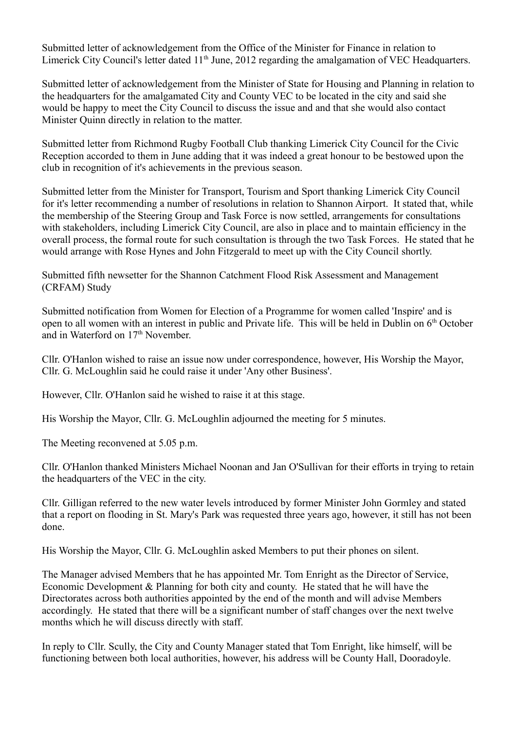Submitted letter of acknowledgement from the Office of the Minister for Finance in relation to Limerick City Council's letter dated  $11<sup>th</sup>$  June, 2012 regarding the amalgamation of VEC Headquarters.

Submitted letter of acknowledgement from the Minister of State for Housing and Planning in relation to the headquarters for the amalgamated City and County VEC to be located in the city and said she would be happy to meet the City Council to discuss the issue and and that she would also contact Minister Quinn directly in relation to the matter.

Submitted letter from Richmond Rugby Football Club thanking Limerick City Council for the Civic Reception accorded to them in June adding that it was indeed a great honour to be bestowed upon the club in recognition of it's achievements in the previous season.

Submitted letter from the Minister for Transport, Tourism and Sport thanking Limerick City Council for it's letter recommending a number of resolutions in relation to Shannon Airport. It stated that, while the membership of the Steering Group and Task Force is now settled, arrangements for consultations with stakeholders, including Limerick City Council, are also in place and to maintain efficiency in the overall process, the formal route for such consultation is through the two Task Forces. He stated that he would arrange with Rose Hynes and John Fitzgerald to meet up with the City Council shortly.

Submitted fifth newsetter for the Shannon Catchment Flood Risk Assessment and Management (CRFAM) Study

Submitted notification from Women for Election of a Programme for women called 'Inspire' and is open to all women with an interest in public and Private life. This will be held in Dublin on  $6<sup>th</sup>$  October and in Waterford on 17<sup>th</sup> November.

Cllr. O'Hanlon wished to raise an issue now under correspondence, however, His Worship the Mayor, Cllr. G. McLoughlin said he could raise it under 'Any other Business'.

However, Cllr. O'Hanlon said he wished to raise it at this stage.

His Worship the Mayor, Cllr. G. McLoughlin adjourned the meeting for 5 minutes.

The Meeting reconvened at 5.05 p.m.

Cllr. O'Hanlon thanked Ministers Michael Noonan and Jan O'Sullivan for their efforts in trying to retain the headquarters of the VEC in the city.

Cllr. Gilligan referred to the new water levels introduced by former Minister John Gormley and stated that a report on flooding in St. Mary's Park was requested three years ago, however, it still has not been done.

His Worship the Mayor, Cllr. G. McLoughlin asked Members to put their phones on silent.

The Manager advised Members that he has appointed Mr. Tom Enright as the Director of Service, Economic Development & Planning for both city and county. He stated that he will have the Directorates across both authorities appointed by the end of the month and will advise Members accordingly. He stated that there will be a significant number of staff changes over the next twelve months which he will discuss directly with staff.

In reply to Cllr. Scully, the City and County Manager stated that Tom Enright, like himself, will be functioning between both local authorities, however, his address will be County Hall, Dooradoyle.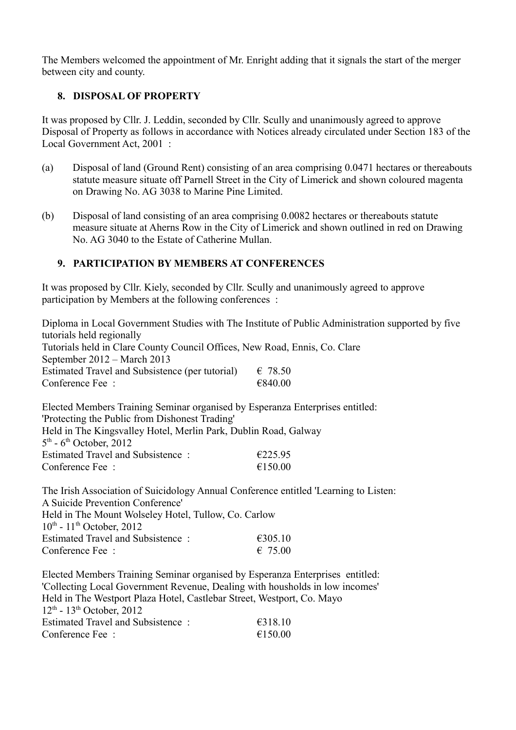The Members welcomed the appointment of Mr. Enright adding that it signals the start of the merger between city and county.

# **8. DISPOSAL OF PROPERTY**

It was proposed by Cllr. J. Leddin, seconded by Cllr. Scully and unanimously agreed to approve Disposal of Property as follows in accordance with Notices already circulated under Section 183 of the Local Government Act, 2001 :

- (a) Disposal of land (Ground Rent) consisting of an area comprising 0.0471 hectares or thereabouts statute measure situate off Parnell Street in the City of Limerick and shown coloured magenta on Drawing No. AG 3038 to Marine Pine Limited.
- (b) Disposal of land consisting of an area comprising 0.0082 hectares or thereabouts statute measure situate at Aherns Row in the City of Limerick and shown outlined in red on Drawing No. AG 3040 to the Estate of Catherine Mullan.

## **9. PARTICIPATION BY MEMBERS AT CONFERENCES**

It was proposed by Cllr. Kiely, seconded by Cllr. Scully and unanimously agreed to approve participation by Members at the following conferences :

Diploma in Local Government Studies with The Institute of Public Administration supported by five tutorials held regionally Tutorials held in Clare County Council Offices, New Road, Ennis, Co. Clare September 2012 – March 2013 Estimated Travel and Subsistence (per tutorial)  $\epsilon$  78.50 Conference Fee :  $\epsilon$ 840.00

Elected Members Training Seminar organised by Esperanza Enterprises entitled: 'Protecting the Public from Dishonest Trading' Held in The Kingsvalley Hotel, Merlin Park, Dublin Road, Galway  $5<sup>th</sup>$  - 6<sup>th</sup> October, 2012 Estimated Travel and Subsistence :  $\epsilon$ 225.95 Conference Fee  $\cdot$   $\epsilon$  150.00

The Irish Association of Suicidology Annual Conference entitled 'Learning to Listen: A Suicide Prevention Conference' Held in The Mount Wolseley Hotel, Tullow, Co. Carlow  $10^{th}$  -  $11^{th}$  October, 2012 Estimated Travel and Subsistence :  $\epsilon$ 305.10 Conference Fee :  $6.7500$ 

Elected Members Training Seminar organised by Esperanza Enterprises entitled: 'Collecting Local Government Revenue, Dealing with housholds in low incomes' Held in The Westport Plaza Hotel, Castlebar Street, Westport, Co. Mayo  $12^{th}$  -  $13^{th}$  October, 2012 Estimated Travel and Subsistence  $\epsilon$  6318.10 Conference Fee :  $\epsilon$ 150.00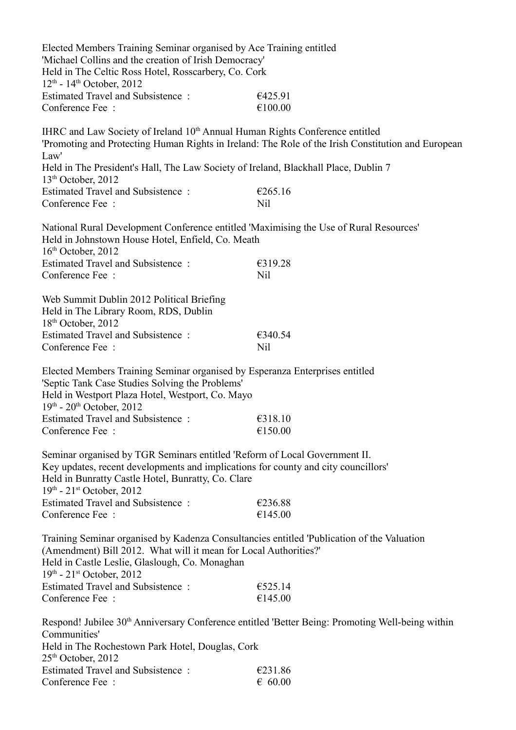| Elected Members Training Seminar organised by Ace Training entitled<br>'Michael Collins and the creation of Irish Democracy'<br>Held in The Celtic Ross Hotel, Rosscarbery, Co. Cork<br>$12^{th}$ - $14^{th}$ October, 2012                                   |                                                                                     |  |  |  |  |
|---------------------------------------------------------------------------------------------------------------------------------------------------------------------------------------------------------------------------------------------------------------|-------------------------------------------------------------------------------------|--|--|--|--|
| <b>Estimated Travel and Subsistence:</b><br>Conference Fee:                                                                                                                                                                                                   | €425.91<br>€100.00                                                                  |  |  |  |  |
| IHRC and Law Society of Ireland 10 <sup>th</sup> Annual Human Rights Conference entitled<br>'Promoting and Protecting Human Rights in Ireland: The Role of the Irish Constitution and European<br>Law'                                                        |                                                                                     |  |  |  |  |
| $13th$ October, 2012                                                                                                                                                                                                                                          | Held in The President's Hall, The Law Society of Ireland, Blackhall Place, Dublin 7 |  |  |  |  |
| <b>Estimated Travel and Subsistence:</b><br>Conference Fee:                                                                                                                                                                                                   | €265.16<br>Nil                                                                      |  |  |  |  |
| National Rural Development Conference entitled 'Maximising the Use of Rural Resources'<br>Held in Johnstown House Hotel, Enfield, Co. Meath<br>$16th$ October, 2012                                                                                           |                                                                                     |  |  |  |  |
| Estimated Travel and Subsistence:<br>Conference Fee:                                                                                                                                                                                                          | €319.28<br>Nil                                                                      |  |  |  |  |
| Web Summit Dublin 2012 Political Briefing<br>Held in The Library Room, RDS, Dublin<br>18 <sup>th</sup> October, 2012                                                                                                                                          |                                                                                     |  |  |  |  |
| Estimated Travel and Subsistence:<br>Conference Fee:                                                                                                                                                                                                          | €340.54<br>Nil                                                                      |  |  |  |  |
| Elected Members Training Seminar organised by Esperanza Enterprises entitled<br>'Septic Tank Case Studies Solving the Problems'<br>Held in Westport Plaza Hotel, Westport, Co. Mayo<br>$19^{th}$ - $20^{th}$ October, 2012                                    |                                                                                     |  |  |  |  |
| <b>Estimated Travel and Subsistence:</b><br>Conference Fee:                                                                                                                                                                                                   | €318.10<br>€150.00                                                                  |  |  |  |  |
| Seminar organised by TGR Seminars entitled 'Reform of Local Government II.<br>Key updates, recent developments and implications for county and city councillors'<br>Held in Bunratty Castle Hotel, Bunratty, Co. Clare<br>$19^{th}$ - $21^{st}$ October, 2012 |                                                                                     |  |  |  |  |
| <b>Estimated Travel and Subsistence:</b><br>Conference Fee:                                                                                                                                                                                                   | €236.88<br>€145.00                                                                  |  |  |  |  |
| Training Seminar organised by Kadenza Consultancies entitled 'Publication of the Valuation<br>(Amendment) Bill 2012. What will it mean for Local Authorities?'<br>Held in Castle Leslie, Glaslough, Co. Monaghan<br>$19^{th}$ - $21^{st}$ October, 2012       |                                                                                     |  |  |  |  |
| <b>Estimated Travel and Subsistence:</b><br>Conference Fee:                                                                                                                                                                                                   | €525.14<br>€145.00                                                                  |  |  |  |  |
| Respond! Jubilee 30 <sup>th</sup> Anniversary Conference entitled 'Better Being: Promoting Well-being within<br>Communities'                                                                                                                                  |                                                                                     |  |  |  |  |
| Held in The Rochestown Park Hotel, Douglas, Cork<br>$25th$ October, 2012                                                                                                                                                                                      |                                                                                     |  |  |  |  |
| <b>Estimated Travel and Subsistence:</b><br>Conference Fee:                                                                                                                                                                                                   | €231.86<br>$\epsilon$ 60.00                                                         |  |  |  |  |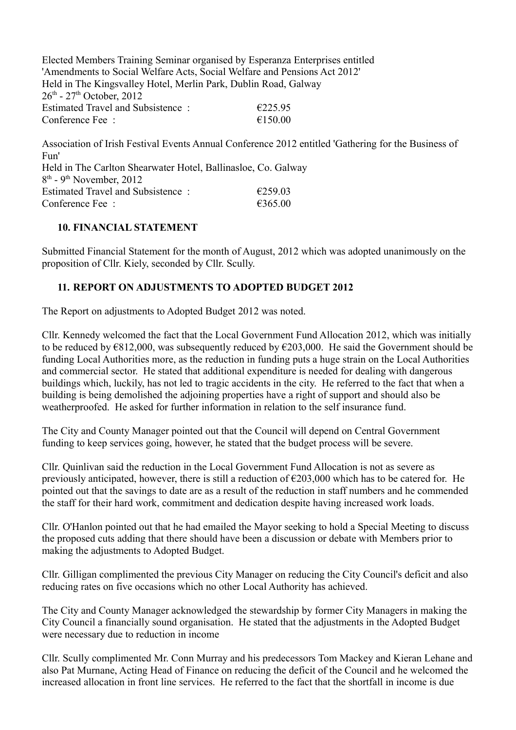Elected Members Training Seminar organised by Esperanza Enterprises entitled 'Amendments to Social Welfare Acts, Social Welfare and Pensions Act 2012' Held in The Kingsvalley Hotel, Merlin Park, Dublin Road, Galway  $26^{th}$  -  $27^{th}$  October, 2012 Estimated Travel and Subsistence :  $\epsilon$  225.95 Conference Fee  $\cdot$   $\epsilon$  150.00

Association of Irish Festival Events Annual Conference 2012 entitled 'Gathering for the Business of Fun' Held in The Carlton Shearwater Hotel, Ballinasloe, Co. Galway 8<sup>th</sup> - 9<sup>th</sup> November, 2012 Estimated Travel and Subsistence :  $\epsilon$  259.03 Conference Fee :  $6365.00$ 

## **10. FINANCIAL STATEMENT**

Submitted Financial Statement for the month of August, 2012 which was adopted unanimously on the proposition of Cllr. Kiely, seconded by Cllr. Scully.

## **11. REPORT ON ADJUSTMENTS TO ADOPTED BUDGET 2012**

The Report on adjustments to Adopted Budget 2012 was noted.

Cllr. Kennedy welcomed the fact that the Local Government Fund Allocation 2012, which was initially to be reduced by  $\epsilon$ 812,000, was subsequently reduced by  $\epsilon$ 203,000. He said the Government should be funding Local Authorities more, as the reduction in funding puts a huge strain on the Local Authorities and commercial sector. He stated that additional expenditure is needed for dealing with dangerous buildings which, luckily, has not led to tragic accidents in the city. He referred to the fact that when a building is being demolished the adjoining properties have a right of support and should also be weatherproofed. He asked for further information in relation to the self insurance fund.

The City and County Manager pointed out that the Council will depend on Central Government funding to keep services going, however, he stated that the budget process will be severe.

Cllr. Quinlivan said the reduction in the Local Government Fund Allocation is not as severe as previously anticipated, however, there is still a reduction of  $\epsilon$ 203,000 which has to be catered for. He pointed out that the savings to date are as a result of the reduction in staff numbers and he commended the staff for their hard work, commitment and dedication despite having increased work loads.

Cllr. O'Hanlon pointed out that he had emailed the Mayor seeking to hold a Special Meeting to discuss the proposed cuts adding that there should have been a discussion or debate with Members prior to making the adjustments to Adopted Budget.

Cllr. Gilligan complimented the previous City Manager on reducing the City Council's deficit and also reducing rates on five occasions which no other Local Authority has achieved.

The City and County Manager acknowledged the stewardship by former City Managers in making the City Council a financially sound organisation. He stated that the adjustments in the Adopted Budget were necessary due to reduction in income

Cllr. Scully complimented Mr. Conn Murray and his predecessors Tom Mackey and Kieran Lehane and also Pat Murnane, Acting Head of Finance on reducing the deficit of the Council and he welcomed the increased allocation in front line services. He referred to the fact that the shortfall in income is due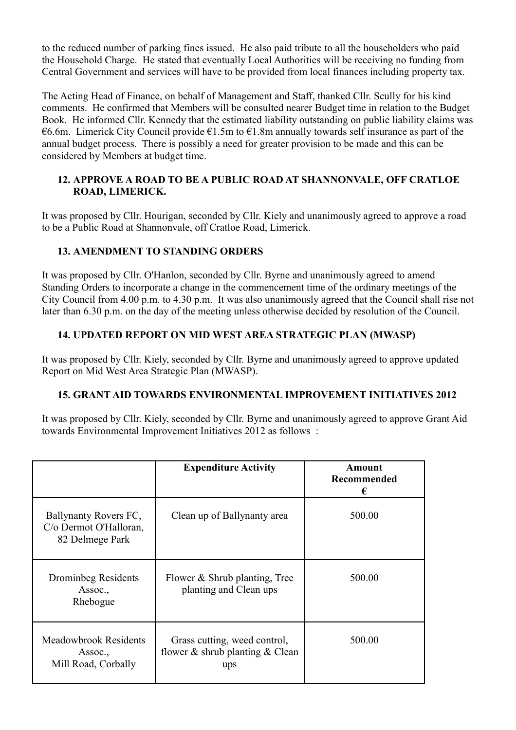to the reduced number of parking fines issued. He also paid tribute to all the householders who paid the Household Charge. He stated that eventually Local Authorities will be receiving no funding from Central Government and services will have to be provided from local finances including property tax.

The Acting Head of Finance, on behalf of Management and Staff, thanked Cllr. Scully for his kind comments. He confirmed that Members will be consulted nearer Budget time in relation to the Budget Book. He informed Cllr. Kennedy that the estimated liability outstanding on public liability claims was  $€6.6m$ . Limerick City Council provide  $€1.5m$  to  $€1.8m$  annually towards self insurance as part of the annual budget process. There is possibly a need for greater provision to be made and this can be considered by Members at budget time.

### **12. APPROVE A ROAD TO BE A PUBLIC ROAD AT SHANNONVALE, OFF CRATLOE ROAD, LIMERICK.**

It was proposed by Cllr. Hourigan, seconded by Cllr. Kiely and unanimously agreed to approve a road to be a Public Road at Shannonvale, off Cratloe Road, Limerick.

## **13. AMENDMENT TO STANDING ORDERS**

It was proposed by Cllr. O'Hanlon, seconded by Cllr. Byrne and unanimously agreed to amend Standing Orders to incorporate a change in the commencement time of the ordinary meetings of the City Council from 4.00 p.m. to 4.30 p.m. It was also unanimously agreed that the Council shall rise not later than 6.30 p.m. on the day of the meeting unless otherwise decided by resolution of the Council.

### **14. UPDATED REPORT ON MID WEST AREA STRATEGIC PLAN (MWASP)**

It was proposed by Cllr. Kiely, seconded by Cllr. Byrne and unanimously agreed to approve updated Report on Mid West Area Strategic Plan (MWASP).

### **15. GRANT AID TOWARDS ENVIRONMENTAL IMPROVEMENT INITIATIVES 2012**

It was proposed by Cllr. Kiely, seconded by Cllr. Byrne and unanimously agreed to approve Grant Aid towards Environmental Improvement Initiatives 2012 as follows :

|                                                                    | <b>Expenditure Activity</b>                                                  | Amount<br>Recommended<br>€ |
|--------------------------------------------------------------------|------------------------------------------------------------------------------|----------------------------|
| Ballynanty Rovers FC,<br>C/o Dermot O'Halloran,<br>82 Delmege Park | Clean up of Ballynanty area                                                  | 500.00                     |
| Drominbeg Residents<br>Assoc.,<br>Rhebogue                         | Flower & Shrub planting, Tree<br>planting and Clean ups                      | 500.00                     |
| <b>Meadowbrook Residents</b><br>Assoc.,<br>Mill Road, Corbally     | Grass cutting, weed control,<br>flower $\&$ shrub planting $\&$ Clean<br>ups | 500.00                     |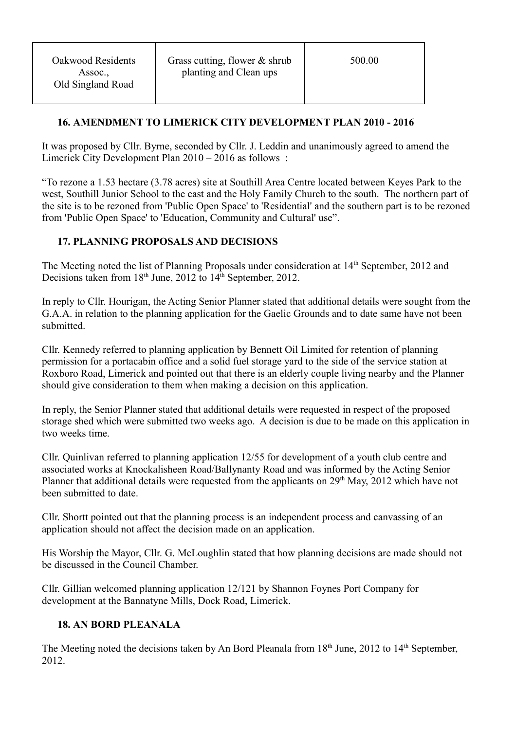## **16. AMENDMENT TO LIMERICK CITY DEVELOPMENT PLAN 2010 - 2016**

It was proposed by Cllr. Byrne, seconded by Cllr. J. Leddin and unanimously agreed to amend the Limerick City Development Plan 2010 – 2016 as follows :

"To rezone a 1.53 hectare (3.78 acres) site at Southill Area Centre located between Keyes Park to the west, Southill Junior School to the east and the Holy Family Church to the south. The northern part of the site is to be rezoned from 'Public Open Space' to 'Residential' and the southern part is to be rezoned from 'Public Open Space' to 'Education, Community and Cultural' use".

## **17. PLANNING PROPOSALS AND DECISIONS**

The Meeting noted the list of Planning Proposals under consideration at 14<sup>th</sup> September, 2012 and Decisions taken from 18<sup>th</sup> June, 2012 to 14<sup>th</sup> September, 2012.

In reply to Cllr. Hourigan, the Acting Senior Planner stated that additional details were sought from the G.A.A. in relation to the planning application for the Gaelic Grounds and to date same have not been submitted.

Cllr. Kennedy referred to planning application by Bennett Oil Limited for retention of planning permission for a portacabin office and a solid fuel storage yard to the side of the service station at Roxboro Road, Limerick and pointed out that there is an elderly couple living nearby and the Planner should give consideration to them when making a decision on this application.

In reply, the Senior Planner stated that additional details were requested in respect of the proposed storage shed which were submitted two weeks ago. A decision is due to be made on this application in two weeks time.

Cllr. Quinlivan referred to planning application 12/55 for development of a youth club centre and associated works at Knockalisheen Road/Ballynanty Road and was informed by the Acting Senior Planner that additional details were requested from the applicants on 29<sup>th</sup> May, 2012 which have not been submitted to date.

Cllr. Shortt pointed out that the planning process is an independent process and canvassing of an application should not affect the decision made on an application.

His Worship the Mayor, Cllr. G. McLoughlin stated that how planning decisions are made should not be discussed in the Council Chamber.

Cllr. Gillian welcomed planning application 12/121 by Shannon Foynes Port Company for development at the Bannatyne Mills, Dock Road, Limerick.

### **18. AN BORD PLEANALA**

The Meeting noted the decisions taken by An Bord Pleanala from  $18<sup>th</sup>$  June, 2012 to  $14<sup>th</sup>$  September, 2012.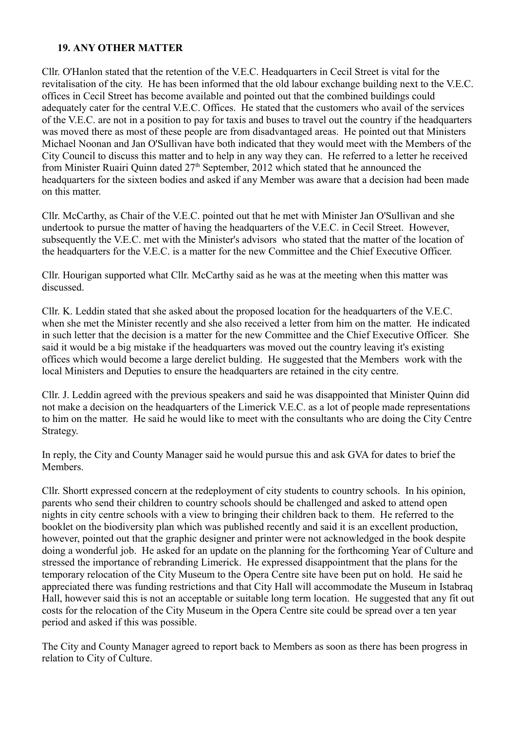### **19. ANY OTHER MATTER**

Cllr. O'Hanlon stated that the retention of the V.E.C. Headquarters in Cecil Street is vital for the revitalisation of the city. He has been informed that the old labour exchange building next to the V.E.C. offices in Cecil Street has become available and pointed out that the combined buildings could adequately cater for the central V.E.C. Offices. He stated that the customers who avail of the services of the V.E.C. are not in a position to pay for taxis and buses to travel out the country if the headquarters was moved there as most of these people are from disadvantaged areas. He pointed out that Ministers Michael Noonan and Jan O'Sullivan have both indicated that they would meet with the Members of the City Council to discuss this matter and to help in any way they can. He referred to a letter he received from Minister Ruairi Quinn dated  $27<sup>th</sup>$  September, 2012 which stated that he announced the headquarters for the sixteen bodies and asked if any Member was aware that a decision had been made on this matter.

Cllr. McCarthy, as Chair of the V.E.C. pointed out that he met with Minister Jan O'Sullivan and she undertook to pursue the matter of having the headquarters of the V.E.C. in Cecil Street. However, subsequently the V.E.C. met with the Minister's advisors who stated that the matter of the location of the headquarters for the V.E.C. is a matter for the new Committee and the Chief Executive Officer.

Cllr. Hourigan supported what Cllr. McCarthy said as he was at the meeting when this matter was discussed.

Cllr. K. Leddin stated that she asked about the proposed location for the headquarters of the V.E.C. when she met the Minister recently and she also received a letter from him on the matter. He indicated in such letter that the decision is a matter for the new Committee and the Chief Executive Officer. She said it would be a big mistake if the headquarters was moved out the country leaving it's existing offices which would become a large derelict bulding. He suggested that the Members work with the local Ministers and Deputies to ensure the headquarters are retained in the city centre.

Cllr. J. Leddin agreed with the previous speakers and said he was disappointed that Minister Quinn did not make a decision on the headquarters of the Limerick V.E.C. as a lot of people made representations to him on the matter. He said he would like to meet with the consultants who are doing the City Centre Strategy.

In reply, the City and County Manager said he would pursue this and ask GVA for dates to brief the **Members** 

Cllr. Shortt expressed concern at the redeployment of city students to country schools. In his opinion, parents who send their children to country schools should be challenged and asked to attend open nights in city centre schools with a view to bringing their children back to them. He referred to the booklet on the biodiversity plan which was published recently and said it is an excellent production, however, pointed out that the graphic designer and printer were not acknowledged in the book despite doing a wonderful job. He asked for an update on the planning for the forthcoming Year of Culture and stressed the importance of rebranding Limerick. He expressed disappointment that the plans for the temporary relocation of the City Museum to the Opera Centre site have been put on hold. He said he appreciated there was funding restrictions and that City Hall will accommodate the Museum in Istabraq Hall, however said this is not an acceptable or suitable long term location. He suggested that any fit out costs for the relocation of the City Museum in the Opera Centre site could be spread over a ten year period and asked if this was possible.

The City and County Manager agreed to report back to Members as soon as there has been progress in relation to City of Culture.